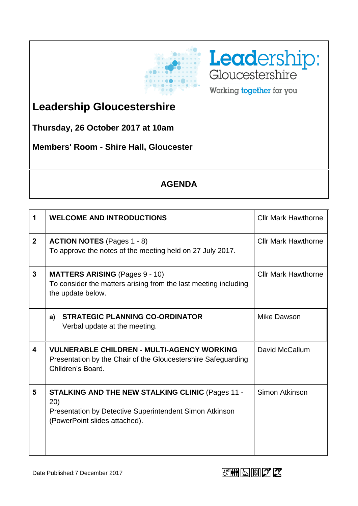



**Leadership Gloucestershire**

**Thursday, 26 October 2017 at 10am**

**Members' Room - Shire Hall, Gloucester**

## **AGENDA**

| 1                       | <b>WELCOME AND INTRODUCTIONS</b>                                                                                                                            | <b>Cllr Mark Hawthorne</b> |
|-------------------------|-------------------------------------------------------------------------------------------------------------------------------------------------------------|----------------------------|
| 2 <sup>1</sup>          | <b>ACTION NOTES</b> (Pages 1 - 8)<br>To approve the notes of the meeting held on 27 July 2017.                                                              | <b>Cllr Mark Hawthorne</b> |
| $\mathbf{3}$            | <b>MATTERS ARISING (Pages 9 - 10)</b><br>To consider the matters arising from the last meeting including<br>the update below.                               | <b>Cllr Mark Hawthorne</b> |
|                         | <b>STRATEGIC PLANNING CO-ORDINATOR</b><br>a)<br>Verbal update at the meeting.                                                                               | Mike Dawson                |
| $\overline{\mathbf{4}}$ | <b>VULNERABLE CHILDREN - MULTI-AGENCY WORKING</b><br>Presentation by the Chair of the Gloucestershire Safeguarding<br>Children's Board.                     | David McCallum             |
| 5                       | <b>STALKING AND THE NEW STALKING CLINIC (Pages 11 -</b><br>(20)<br>Presentation by Detective Superintendent Simon Atkinson<br>(PowerPoint slides attached). | Simon Atkinson             |